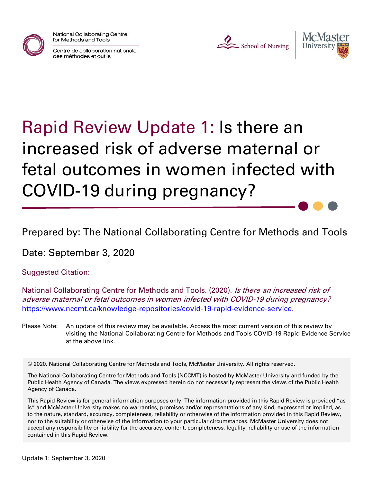

National Collaborating Centre for Methods and Tools

Centre de collaboration nationale des méthodes et outils





# Rapid Review Update 1: Is there an increased risk of adverse maternal or fetal outcomes in women infected with COVID-19 during pregnancy?

Prepared by: The National Collaborating Centre for Methods and Tools

Date: September 3, 2020

Suggested Citation:

National Collaborating Centre for Methods and Tools. (2020). Is there an increased risk of adverse maternal or fetal outcomes in women infected with COVID-19 during pregnancy? [https://www.nccmt.ca/knowledge-repositories/covid-19-rapid-evidence-service.](https://www.nccmt.ca/knowledge-repositories/covid-19-rapid-evidence-service)

Please Note: An update of this review may be available. Access the most current version of this review by visiting the National Collaborating Centre for Methods and Tools COVID-19 Rapid Evidence Service at the above link.

© 2020. National Collaborating Centre for Methods and Tools, McMaster University. All rights reserved.

The National Collaborating Centre for Methods and Tools (NCCMT) is hosted by McMaster University and funded by the Public Health Agency of Canada. The views expressed herein do not necessarily represent the views of the Public Health Agency of Canada.

This Rapid Review is for general information purposes only. The information provided in this Rapid Review is provided "as is" and McMaster University makes no warranties, promises and/or representations of any kind, expressed or implied, as to the nature, standard, accuracy, completeness, reliability or otherwise of the information provided in this Rapid Review, nor to the suitability or otherwise of the information to your particular circumstances. McMaster University does not accept any responsibility or liability for the accuracy, content, completeness, legality, reliability or use of the information contained in this Rapid Review.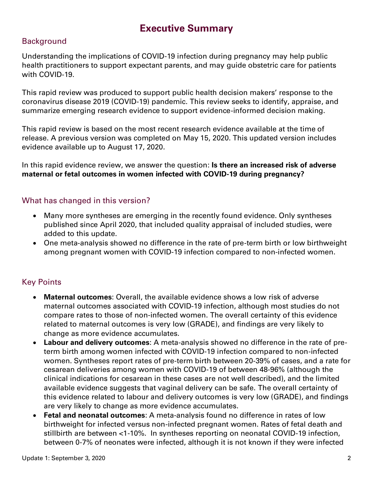## **Executive Summary**

#### **Background**

Understanding the implications of COVID-19 infection during pregnancy may help public health practitioners to support expectant parents, and may guide obstetric care for patients with COVID-19.

This rapid review was produced to support public health decision makers' response to the coronavirus disease 2019 (COVID-19) pandemic. This review seeks to identify, appraise, and summarize emerging research evidence to support evidence-informed decision making.

This rapid review is based on the most recent research evidence available at the time of release. A previous version was completed on May 15, 2020. This updated version includes evidence available up to August 17, 2020.

In this rapid evidence review, we answer the question: **Is there an increased risk of adverse maternal or fetal outcomes in women infected with COVID-19 during pregnancy?**

#### What has changed in this version?

- Many more syntheses are emerging in the recently found evidence. Only syntheses published since April 2020, that included quality appraisal of included studies, were added to this update.
- One meta-analysis showed no difference in the rate of pre-term birth or low birthweight among pregnant women with COVID-19 infection compared to non-infected women.

#### Key Points

- **Maternal outcomes**: Overall, the available evidence shows a low risk of adverse maternal outcomes associated with COVID-19 infection, although most studies do not compare rates to those of non-infected women. The overall certainty of this evidence related to maternal outcomes is very low (GRADE), and findings are very likely to change as more evidence accumulates.
- **Labour and delivery outcomes**: A meta-analysis showed no difference in the rate of preterm birth among women infected with COVID-19 infection compared to non-infected women. Syntheses report rates of pre-term birth between 20-39% of cases, and a rate for cesarean deliveries among women with COVID-19 of between 48-96% (although the clinical indications for cesarean in these cases are not well described), and the limited available evidence suggests that vaginal delivery can be safe. The overall certainty of this evidence related to labour and delivery outcomes is very low (GRADE), and findings are very likely to change as more evidence accumulates.
- **Fetal and neonatal outcomes**: A meta-analysis found no difference in rates of low birthweight for infected versus non-infected pregnant women. Rates of fetal death and stillbirth are between <1-10%. In syntheses reporting on neonatal COVID-19 infection, between 0-7% of neonates were infected, although it is not known if they were infected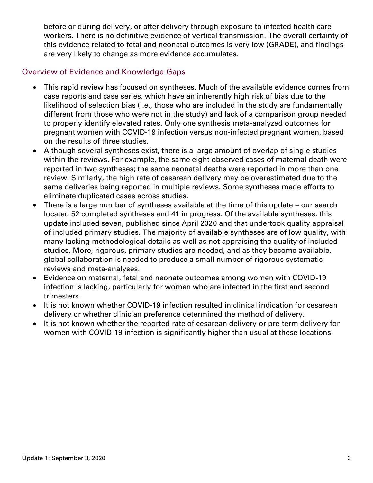before or during delivery, or after delivery through exposure to infected health care workers. There is no definitive evidence of vertical transmission. The overall certainty of this evidence related to fetal and neonatal outcomes is very low (GRADE), and findings are very likely to change as more evidence accumulates.

#### Overview of Evidence and Knowledge Gaps

- This rapid review has focused on syntheses. Much of the available evidence comes from case reports and case series, which have an inherently high risk of bias due to the likelihood of selection bias (i.e., those who are included in the study are fundamentally different from those who were not in the study) and lack of a comparison group needed to properly identify elevated rates. Only one synthesis meta-analyzed outcomes for pregnant women with COVID-19 infection versus non-infected pregnant women, based on the results of three studies.
- Although several syntheses exist, there is a large amount of overlap of single studies within the reviews. For example, the same eight observed cases of maternal death were reported in two syntheses; the same neonatal deaths were reported in more than one review. Similarly, the high rate of cesarean delivery may be overestimated due to the same deliveries being reported in multiple reviews. Some syntheses made efforts to eliminate duplicated cases across studies.
- There is a large number of syntheses available at the time of this update our search located 52 completed syntheses and 41 in progress. Of the available syntheses, this update included seven, published since April 2020 and that undertook quality appraisal of included primary studies. The majority of available syntheses are of low quality, with many lacking methodological details as well as not appraising the quality of included studies. More, rigorous, primary studies are needed, and as they become available, global collaboration is needed to produce a small number of rigorous systematic reviews and meta-analyses.
- Evidence on maternal, fetal and neonate outcomes among women with COVID-19 infection is lacking, particularly for women who are infected in the first and second trimesters.
- It is not known whether COVID-19 infection resulted in clinical indication for cesarean delivery or whether clinician preference determined the method of delivery.
- It is not known whether the reported rate of cesarean delivery or pre-term delivery for women with COVID-19 infection is significantly higher than usual at these locations.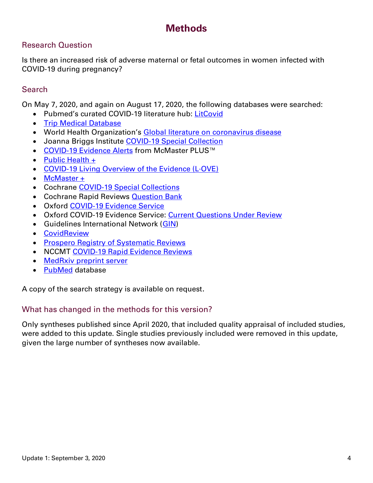## **Methods**

#### Research Question

Is there an increased risk of adverse maternal or fetal outcomes in women infected with COVID-19 during pregnancy?

#### **Search**

On May 7, 2020, and again on August 17, 2020, the following databases were searched:

- Pubmed's curated COVID-19 literature hub: [LitCovid](https://www.ncbi.nlm.nih.gov/research/coronavirus/)
- [Trip Medical Database](https://www.tripdatabase.com/)
- World Health Organization's [Global literature on coronavirus disease](https://search.bvsalud.org/global-literature-on-novel-coronavirus-2019-ncov/)
- Joanna Briggs Institute [COVID-19 Special Collection](https://joannabriggs.org/ebp/covid-19)
- [COVID-19 Evidence Alerts](https://plus.mcmaster.ca/COVID-19/Home) from McMaster PLUS™
- [Public Health +](https://www.nccmt.ca/knowledge-repositories/public-health-plus)
- [COVID-19 Living Overview of the Evidence \(L·OVE\)](https://app.iloveevidence.com/loves/5e6fdb9669c00e4ac072701d)
- [McMaster +](https://plus.mcmaster.ca/McMasterPLUSDB/)
- Cochrane [COVID-19 Special Collections](https://www.cochranelibrary.com/covid-19)
- Cochrane Rapid Reviews **Question Bank**
- Oxford [COVID-19 Evidence Service](https://www.cebm.net/covid-19/)
- Oxford COVID-19 Evidence Service: [Current Questions Under Review](https://www.cebm.net/covid-19/current-questions-under-review/)
- Guidelines International Network [\(GIN\)](https://g-i-n.net/)
- [CovidReview](https://covidreview.ca/)
- [Prospero Registry of Systematic Reviews](https://www.crd.york.ac.uk/prospero/display_record.php?RecordID=193751)
- NCCMT [COVID-19 Rapid Evidence Reviews](https://www.nccmt.ca/knowledge-repositories/covid-19-evidence-reviews)
- [MedRxiv preprint server](https://www.medrxiv.org/)
- [PubMed](https://pubmed.ncbi.nlm.nih.gov/) database

A copy of the search strategy is available on request.

#### What has changed in the methods for this version?

Only syntheses published since April 2020, that included quality appraisal of included studies, were added to this update. Single studies previously included were removed in this update, given the large number of syntheses now available.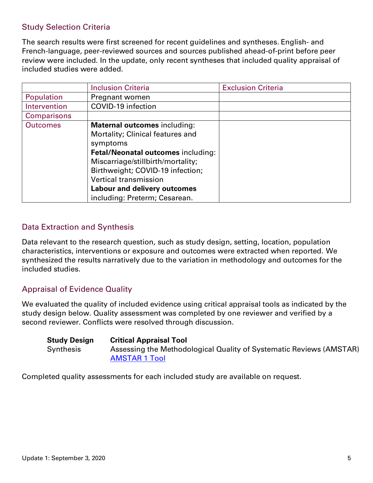#### Study Selection Criteria

The search results were first screened for recent guidelines and syntheses. English- and French-language, peer-reviewed sources and sources published ahead-of-print before peer review were included. In the update, only recent syntheses that included quality appraisal of included studies were added.

|                    | <b>Inclusion Criteria</b>                                                                                                                                                                                                                                                                                         | <b>Exclusion Criteria</b> |
|--------------------|-------------------------------------------------------------------------------------------------------------------------------------------------------------------------------------------------------------------------------------------------------------------------------------------------------------------|---------------------------|
| Population         | Pregnant women                                                                                                                                                                                                                                                                                                    |                           |
| Intervention       | COVID-19 infection                                                                                                                                                                                                                                                                                                |                           |
| <b>Comparisons</b> |                                                                                                                                                                                                                                                                                                                   |                           |
| <b>Outcomes</b>    | <b>Maternal outcomes including:</b><br>Mortality; Clinical features and<br>symptoms<br><b>Fetal/Neonatal outcomes including:</b><br>Miscarriage/stillbirth/mortality;<br>Birthweight; COVID-19 infection;<br><b>Vertical transmission</b><br><b>Labour and delivery outcomes</b><br>including: Preterm; Cesarean. |                           |

#### Data Extraction and Synthesis

Data relevant to the research question, such as study design, setting, location, population characteristics, interventions or exposure and outcomes were extracted when reported. We synthesized the results narratively due to the variation in methodology and outcomes for the included studies.

#### Appraisal of Evidence Quality

We evaluated the quality of included evidence using critical appraisal tools as indicated by the study design below. Quality assessment was completed by one reviewer and verified by a second reviewer. Conflicts were resolved through discussion.

| <b>Study Design</b> | <b>Critical Appraisal Tool</b>                                      |
|---------------------|---------------------------------------------------------------------|
| Synthesis           | Assessing the Methodological Quality of Systematic Reviews (AMSTAR) |
|                     | <b>AMSTAR 1 Tool</b>                                                |

Completed quality assessments for each included study are available on request.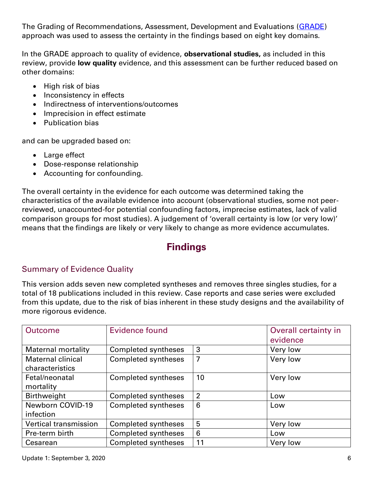The Grading of Recommendations, Assessment, Development and Evaluations [\(GRADE\)](https://gdt.gradepro.org/app/handbook/handbook.html) approach was used to assess the certainty in the findings based on eight key domains.

In the GRADE approach to quality of evidence, **observational studies,** as included in this review, provide **low quality** evidence, and this assessment can be further reduced based on other domains:

- High risk of bias
- Inconsistency in effects
- Indirectness of interventions/outcomes
- Imprecision in effect estimate
- Publication bias

and can be upgraded based on:

- Large effect
- Dose-response relationship
- Accounting for confounding.

The overall certainty in the evidence for each outcome was determined taking the characteristics of the available evidence into account (observational studies, some not peerreviewed, unaccounted-for potential confounding factors, imprecise estimates, lack of valid comparison groups for most studies). A judgement of 'overall certainty is low (or very low)' means that the findings are likely or very likely to change as more evidence accumulates.

## **Findings**

### Summary of Evidence Quality

This version adds seven new completed syntheses and removes three singles studies, for a total of 18 publications included in this review. Case reports and case series were excluded from this update, due to the risk of bias inherent in these study designs and the availability of more rigorous evidence.

| <b>Outcome</b>            | Evidence found             |                | Overall certainty in<br>evidence |
|---------------------------|----------------------------|----------------|----------------------------------|
| <b>Maternal mortality</b> | <b>Completed syntheses</b> | 3              | Very low                         |
| <b>Maternal clinical</b>  | <b>Completed syntheses</b> | $\overline{7}$ | Very low                         |
| characteristics           |                            |                |                                  |
| Fetal/neonatal            | Completed syntheses        | 10             | Very low                         |
| mortality                 |                            |                |                                  |
| Birthweight               | Completed syntheses        | $\overline{2}$ | Low                              |
| Newborn COVID-19          | <b>Completed syntheses</b> | 6              | Low                              |
| infection                 |                            |                |                                  |
| Vertical transmission     | <b>Completed syntheses</b> | 5              | Very low                         |
| Pre-term birth            | <b>Completed syntheses</b> | 6              | Low                              |
| Cesarean                  | <b>Completed syntheses</b> | 11             | Very low                         |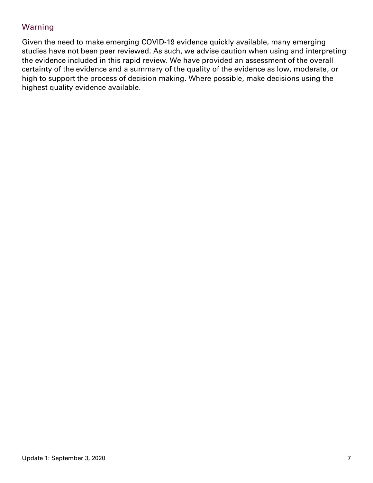#### Warning

Given the need to make emerging COVID-19 evidence quickly available, many emerging studies have not been peer reviewed. As such, we advise caution when using and interpreting the evidence included in this rapid review. We have provided an assessment of the overall certainty of the evidence and a summary of the quality of the evidence as low, moderate, or high to support the process of decision making. Where possible, make decisions using the highest quality evidence available.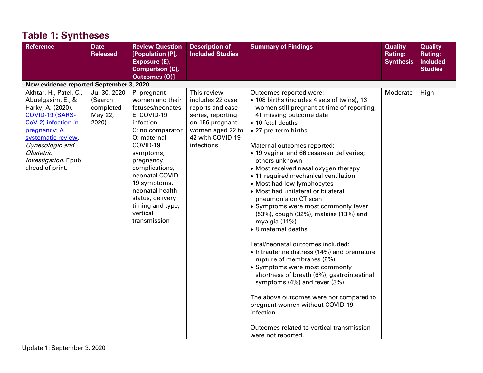| <b>Reference</b>                                                                                                                                                                                                                  | <b>Date</b><br><b>Released</b>                           | <b>Review Question</b><br>[Population (P),<br>Exposure (E),<br><b>Comparison (C),</b><br><b>Outcomes (O)]</b>                                                                                                                                                                                       | <b>Description of</b><br><b>Included Studies</b>                                                                                                   | <b>Summary of Findings</b>                                                                                                                                                                                                                                                                                                                                                                                                                                                                                                                                                                                                                                                                                                                                                                                                                                                                                                                                                                   | <b>Quality</b><br>Rating:<br><b>Synthesis</b> | <b>Quality</b><br><b>Rating:</b><br><b>Included</b><br><b>Studies</b> |
|-----------------------------------------------------------------------------------------------------------------------------------------------------------------------------------------------------------------------------------|----------------------------------------------------------|-----------------------------------------------------------------------------------------------------------------------------------------------------------------------------------------------------------------------------------------------------------------------------------------------------|----------------------------------------------------------------------------------------------------------------------------------------------------|----------------------------------------------------------------------------------------------------------------------------------------------------------------------------------------------------------------------------------------------------------------------------------------------------------------------------------------------------------------------------------------------------------------------------------------------------------------------------------------------------------------------------------------------------------------------------------------------------------------------------------------------------------------------------------------------------------------------------------------------------------------------------------------------------------------------------------------------------------------------------------------------------------------------------------------------------------------------------------------------|-----------------------------------------------|-----------------------------------------------------------------------|
| New evidence reported September 3, 2020                                                                                                                                                                                           |                                                          |                                                                                                                                                                                                                                                                                                     |                                                                                                                                                    |                                                                                                                                                                                                                                                                                                                                                                                                                                                                                                                                                                                                                                                                                                                                                                                                                                                                                                                                                                                              |                                               |                                                                       |
| Akhtar, H., Patel, C.,<br>Abuelgasim, E., &<br>Harky, A. (2020).<br>COVID-19 (SARS-<br>CoV-2) infection in<br>pregnancy: A<br>systematic review.<br>Gynecologic and<br><b>Obstetric</b><br>Investigation. Epub<br>ahead of print. | Jul 30, 2020<br>(Search<br>completed<br>May 22,<br>2020) | P: pregnant<br>women and their<br>fetuses/neonates<br>E: COVID-19<br>infection<br>C: no comparator<br>O: maternal<br>COVID-19<br>symptoms,<br>pregnancy<br>complications,<br>neonatal COVID-<br>19 symptoms,<br>neonatal health<br>status, delivery<br>timing and type,<br>vertical<br>transmission | This review<br>includes 22 case<br>reports and case<br>series, reporting<br>on 156 pregnant<br>women aged 22 to<br>42 with COVID-19<br>infections. | Outcomes reported were:<br>• 108 births (includes 4 sets of twins), 13<br>women still pregnant at time of reporting,<br>41 missing outcome data<br>• 10 fetal deaths<br>• 27 pre-term births<br>Maternal outcomes reported:<br>• 19 vaginal and 66 cesarean deliveries;<br>others unknown<br>• Most received nasal oxygen therapy<br>• 11 required mechanical ventilation<br>• Most had low lymphocytes<br>• Most had unilateral or bilateral<br>pneumonia on CT scan<br>• Symptoms were most commonly fever<br>(53%), cough (32%), malaise (13%) and<br>myalgia (11%)<br>• 8 maternal deaths<br>Fetal/neonatal outcomes included:<br>• Intrauterine distress (14%) and premature<br>rupture of membranes (8%)<br>• Symptoms were most commonly<br>shortness of breath (6%), gastrointestinal<br>symptoms (4%) and fever (3%)<br>The above outcomes were not compared to<br>pregnant women without COVID-19<br>infection.<br>Outcomes related to vertical transmission<br>were not reported. | Moderate                                      | High                                                                  |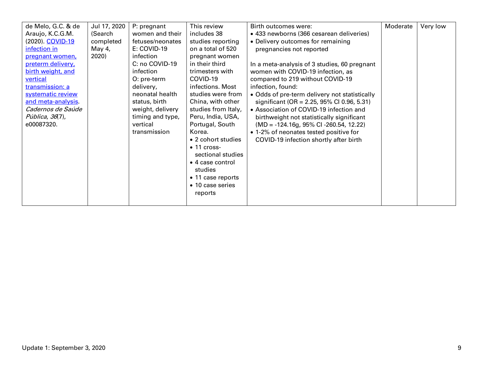| de Melo, G.C. & de<br>Araujo, K.C.G.M.<br>(2020). COVID-19<br>infection in<br>pregnant women,<br>preterm delivery,<br>birth weight, and<br>vertical<br>transmission: a<br>systematic review<br>and meta-analysis.<br><i>Cadernos de Saúde</i><br><i>Pública, 36</i> (7),<br>e00087320. | Jul 17, 2020<br>(Search<br>completed<br>May 4,<br>2020) | P: pregnant<br>women and their<br>fetuses/neonates<br>E: COVID-19<br>infection<br>C: no COVID-19<br>infection<br>O: pre-term<br>delivery,<br>neonatal health<br>status, birth<br>weight, delivery<br>timing and type,<br>vertical<br>transmission | This review<br>includes 38<br>studies reporting<br>on a total of 520<br>pregnant women<br>in their third<br>trimesters with<br>COVID-19<br>infections. Most<br>studies were from<br>China, with other<br>studies from Italy,<br>Peru, India, USA,<br>Portugal, South<br>Korea.<br>• 2 cohort studies<br>$\bullet$ 11 cross-<br>sectional studies<br>• 4 case control<br>studies<br>• 11 case reports<br>• 10 case series<br>reports | Birth outcomes were:<br>• 433 newborns (366 cesarean deliveries)<br>• Delivery outcomes for remaining<br>pregnancies not reported<br>In a meta-analysis of 3 studies, 60 pregnant<br>women with COVID-19 infection, as<br>compared to 219 without COVID-19<br>infection, found:<br>• Odds of pre-term delivery not statistically<br>significant (OR = $2.25$ , 95% CI 0.96, 5.31)<br>• Association of COVID-19 infection and<br>birthweight not statistically significant<br>$(MD = -124.16g, 95\% CI -260.54, 12.22)$<br>• 1-2% of neonates tested positive for<br>COVID-19 infection shortly after birth | Moderate | Very low |
|----------------------------------------------------------------------------------------------------------------------------------------------------------------------------------------------------------------------------------------------------------------------------------------|---------------------------------------------------------|---------------------------------------------------------------------------------------------------------------------------------------------------------------------------------------------------------------------------------------------------|-------------------------------------------------------------------------------------------------------------------------------------------------------------------------------------------------------------------------------------------------------------------------------------------------------------------------------------------------------------------------------------------------------------------------------------|------------------------------------------------------------------------------------------------------------------------------------------------------------------------------------------------------------------------------------------------------------------------------------------------------------------------------------------------------------------------------------------------------------------------------------------------------------------------------------------------------------------------------------------------------------------------------------------------------------|----------|----------|
|----------------------------------------------------------------------------------------------------------------------------------------------------------------------------------------------------------------------------------------------------------------------------------------|---------------------------------------------------------|---------------------------------------------------------------------------------------------------------------------------------------------------------------------------------------------------------------------------------------------------|-------------------------------------------------------------------------------------------------------------------------------------------------------------------------------------------------------------------------------------------------------------------------------------------------------------------------------------------------------------------------------------------------------------------------------------|------------------------------------------------------------------------------------------------------------------------------------------------------------------------------------------------------------------------------------------------------------------------------------------------------------------------------------------------------------------------------------------------------------------------------------------------------------------------------------------------------------------------------------------------------------------------------------------------------------|----------|----------|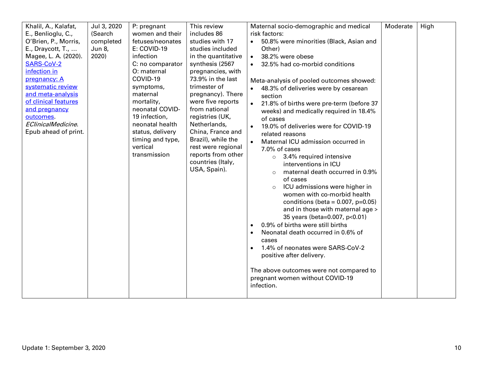| Khalil, A., Kalafat,<br>E., Benlioglu, C.,<br>O'Brien, P., Morris,<br>E., Draycott, T.,<br>Magee, L. A. (2020).<br><b>SARS-CoV-2</b><br>infection in<br>pregnancy: A<br>systematic review<br>and meta-analysis<br>of clinical features<br>and pregnancy<br>outcomes.<br>EClinicalMedicine.<br>Epub ahead of print. | Jul 3, 2020<br>(Search<br>completed<br>Jun 8,<br>2020) | P: pregnant<br>women and their<br>fetuses/neonates<br>E: COVID-19<br>infection<br>C: no comparator<br>O: maternal<br>COVID-19<br>symptoms,<br>maternal<br>mortality,<br>neonatal COVID-<br>19 infection,<br>neonatal health<br>status, delivery<br>timing and type,<br>vertical | This review<br>includes 86<br>studies with 17<br>studies included<br>in the quantitative<br>synthesis (2567<br>pregnancies, with<br>73.9% in the last<br>trimester of<br>pregnancy). There<br>were five reports<br>from national<br>registries (UK,<br>Netherlands,<br>China, France and<br>Brazil), while the<br>rest were regional | Maternal socio-demographic and medical<br>risk factors:<br>50.8% were minorities (Black, Asian and<br>$\bullet$<br>Other)<br>38.2% were obese<br>$\bullet$<br>32.5% had co-morbid conditions<br>Meta-analysis of pooled outcomes showed:<br>48.3% of deliveries were by cesarean<br>section<br>21.8% of births were pre-term (before 37<br>$\bullet$<br>weeks) and medically required in 18.4%<br>of cases<br>19.0% of deliveries were for COVID-19<br>$\bullet$<br>related reasons<br>Maternal ICU admission occurred in                                | Moderate | High |
|--------------------------------------------------------------------------------------------------------------------------------------------------------------------------------------------------------------------------------------------------------------------------------------------------------------------|--------------------------------------------------------|---------------------------------------------------------------------------------------------------------------------------------------------------------------------------------------------------------------------------------------------------------------------------------|--------------------------------------------------------------------------------------------------------------------------------------------------------------------------------------------------------------------------------------------------------------------------------------------------------------------------------------|----------------------------------------------------------------------------------------------------------------------------------------------------------------------------------------------------------------------------------------------------------------------------------------------------------------------------------------------------------------------------------------------------------------------------------------------------------------------------------------------------------------------------------------------------------|----------|------|
|                                                                                                                                                                                                                                                                                                                    |                                                        | transmission                                                                                                                                                                                                                                                                    | reports from other<br>countries (Italy,<br>USA, Spain).                                                                                                                                                                                                                                                                              | 7.0% of cases<br>$\circ$ 3.4% required intensive<br>interventions in ICU<br>maternal death occurred in 0.9%<br>of cases<br>ICU admissions were higher in<br>$\circ$<br>women with co-morbid health<br>conditions (beta = $0.007$ , p= $0.05$ )<br>and in those with maternal age ><br>35 years (beta=0.007, p<0.01)<br>0.9% of births were still births<br>$\bullet$<br>Neonatal death occurred in 0.6% of<br>$\bullet$<br>cases<br>1.4% of neonates were SARS-CoV-2<br>$\bullet$<br>positive after delivery.<br>The above outcomes were not compared to |          |      |
|                                                                                                                                                                                                                                                                                                                    |                                                        |                                                                                                                                                                                                                                                                                 |                                                                                                                                                                                                                                                                                                                                      | pregnant women without COVID-19<br>infection.                                                                                                                                                                                                                                                                                                                                                                                                                                                                                                            |          |      |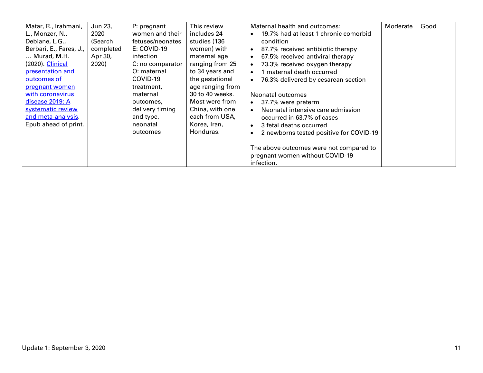| Matar, R., Irahmani,<br>L., Monzer, N.,<br>Debiane, L.G.,<br>Berbari, E., Fares, J.,<br>Murad, M.H.<br>(2020). Clinical<br>presentation and<br>outcomes of<br>pregnant women<br>with coronavirus<br>disease 2019: A | Jun 23,<br>2020<br>(Search<br>completed<br>Apr 30,<br>2020) | P: pregnant<br>women and their<br>fetuses/neonates<br>E: COVID-19<br>infection<br>C: no comparator<br>O: maternal<br>COVID-19<br>treatment,<br>maternal<br>outcomes, | This review<br>includes 24<br>studies (136<br>women) with<br>maternal age<br>ranging from 25<br>to 34 years and<br>the gestational<br>age ranging from<br>30 to 40 weeks.<br>Most were from | Maternal health and outcomes:<br>19.7% had at least 1 chronic comorbid<br>$\bullet$<br>condition<br>87.7% received antibiotic therapy<br>$\bullet$<br>67.5% received antiviral therapy<br>$\bullet$<br>73.3% received oxygen therapy<br>$\bullet$<br>1 maternal death occurred<br>$\bullet$<br>76.3% delivered by cesarean section<br>$\bullet$<br>Neonatal outcomes<br>37.7% were preterm<br>$\bullet$ | Moderate | Good |
|---------------------------------------------------------------------------------------------------------------------------------------------------------------------------------------------------------------------|-------------------------------------------------------------|----------------------------------------------------------------------------------------------------------------------------------------------------------------------|---------------------------------------------------------------------------------------------------------------------------------------------------------------------------------------------|---------------------------------------------------------------------------------------------------------------------------------------------------------------------------------------------------------------------------------------------------------------------------------------------------------------------------------------------------------------------------------------------------------|----------|------|
| systematic review                                                                                                                                                                                                   |                                                             | delivery timing                                                                                                                                                      | China, with one<br>each from USA,                                                                                                                                                           | Neonatal intensive care admission<br>$\bullet$                                                                                                                                                                                                                                                                                                                                                          |          |      |
| and meta-analysis.<br>Epub ahead of print.                                                                                                                                                                          |                                                             | and type,<br>neonatal<br>outcomes                                                                                                                                    | Korea, Iran,<br>Honduras.                                                                                                                                                                   | occurred in 63.7% of cases<br>3 fetal deaths occurred<br>$\bullet$<br>2 newborns tested positive for COVID-19<br>$\bullet$                                                                                                                                                                                                                                                                              |          |      |
|                                                                                                                                                                                                                     |                                                             |                                                                                                                                                                      |                                                                                                                                                                                             | The above outcomes were not compared to<br>pregnant women without COVID-19<br>infection.                                                                                                                                                                                                                                                                                                                |          |      |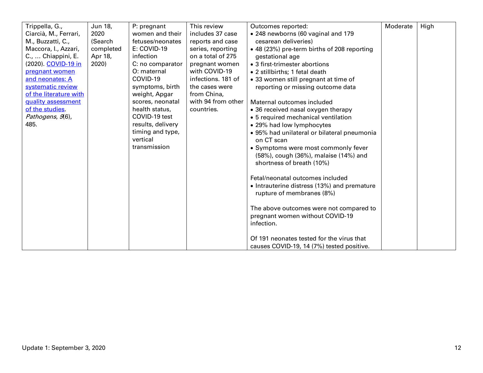| Trippella, G.,         | Jun 18,   | P: pregnant       | This review        | Outcomes reported:                          | Moderate | High |
|------------------------|-----------|-------------------|--------------------|---------------------------------------------|----------|------|
| Ciarcià, M., Ferrari,  | 2020      | women and their   | includes 37 case   | • 248 newborns (60 vaginal and 179          |          |      |
| M., Buzzatti, C.,      | (Search   | fetuses/neonates  | reports and case   | cesarean deliveries)                        |          |      |
| Maccora, I., Azzari,   | completed | E: COVID-19       | series, reporting  | • 48 (23%) pre-term births of 208 reporting |          |      |
| C.,  Chiappini, E.     | Apr 18,   | infection         | on a total of 275  | gestational age                             |          |      |
| (2020). COVID-19 in    | 2020)     | C: no comparator  | pregnant women     | • 3 first-trimester abortions               |          |      |
| pregnant women         |           | O: maternal       | with COVID-19      | • 2 stillbirths; 1 fetal death              |          |      |
| and neonates: A        |           | COVID-19          | infections. 181 of | • 33 women still pregnant at time of        |          |      |
| systematic review      |           | symptoms, birth   | the cases were     | reporting or missing outcome data           |          |      |
| of the literature with |           | weight, Apgar     | from China,        |                                             |          |      |
| quality assessment     |           | scores, neonatal  | with 94 from other | Maternal outcomes included                  |          |      |
| of the studies.        |           | health status,    | countries.         | • 36 received nasal oxygen therapy          |          |      |
| Pathogens, 9(6),       |           | COVID-19 test     |                    | • 5 required mechanical ventilation         |          |      |
| 485.                   |           | results, delivery |                    | • 29% had low lymphocytes                   |          |      |
|                        |           | timing and type,  |                    | • 95% had unilateral or bilateral pneumonia |          |      |
|                        |           | vertical          |                    | on CT scan                                  |          |      |
|                        |           | transmission      |                    | • Symptoms were most commonly fever         |          |      |
|                        |           |                   |                    | (58%), cough (36%), malaise (14%) and       |          |      |
|                        |           |                   |                    | shortness of breath (10%)                   |          |      |
|                        |           |                   |                    |                                             |          |      |
|                        |           |                   |                    | Fetal/neonatal outcomes included            |          |      |
|                        |           |                   |                    | • Intrauterine distress (13%) and premature |          |      |
|                        |           |                   |                    | rupture of membranes (8%)                   |          |      |
|                        |           |                   |                    |                                             |          |      |
|                        |           |                   |                    | The above outcomes were not compared to     |          |      |
|                        |           |                   |                    | pregnant women without COVID-19             |          |      |
|                        |           |                   |                    | infection.                                  |          |      |
|                        |           |                   |                    |                                             |          |      |
|                        |           |                   |                    | Of 191 neonates tested for the virus that   |          |      |
|                        |           |                   |                    | causes COVID-19, 14 (7%) tested positive.   |          |      |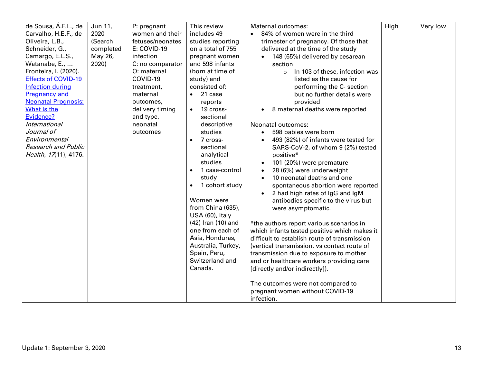| de Sousa, Á.F.L., de       | Jun 11,   | P: pregnant      | This review                 | Maternal outcomes:                           | High | Very low |
|----------------------------|-----------|------------------|-----------------------------|----------------------------------------------|------|----------|
| Carvalho, H.E.F., de       | 2020      | women and their  | includes 49                 | 84% of women were in the third<br>$\bullet$  |      |          |
| Oliveira, L.B.,            | (Search   | fetuses/neonates | studies reporting           | trimester of pregnancy. Of those that        |      |          |
| Schneider, G.,             | completed | E: COVID-19      | on a total of 755           | delivered at the time of the study           |      |          |
| Camargo, E.L.S.,           | May 26,   | infection        | pregnant women              | 148 (65%) delivered by cesarean<br>$\bullet$ |      |          |
| Watanabe, E.,              | 2020)     | C: no comparator | and 598 infants             | section                                      |      |          |
| Fronteira, I. (2020).      |           | O: maternal      | (born at time of            | In 103 of these, infection was<br>$\circ$    |      |          |
| <b>Effects of COVID-19</b> |           | COVID-19         | study) and                  | listed as the cause for                      |      |          |
| <b>Infection during</b>    |           | treatment,       | consisted of:               | performing the C- section                    |      |          |
| <b>Pregnancy and</b>       |           | maternal         | 21 case<br>$\bullet$        | but no further details were                  |      |          |
| <b>Neonatal Prognosis:</b> |           | outcomes.        | reports                     | provided                                     |      |          |
| What Is the                |           | delivery timing  | 19 cross-<br>$\bullet$      | 8 maternal deaths were reported              |      |          |
| Evidence?                  |           | and type,        | sectional                   |                                              |      |          |
| <b>International</b>       |           | neonatal         | descriptive                 | Neonatal outcomes:                           |      |          |
| Journal of                 |           | outcomes         | studies                     | 598 babies were born<br>$\bullet$            |      |          |
| Environmental              |           |                  | 7 cross-<br>$\bullet$       | 493 (82%) of infants were tested for         |      |          |
| <b>Research and Public</b> |           |                  | sectional                   | SARS-CoV-2, of whom 9 (2%) tested            |      |          |
| Health, 17(11), 4176.      |           |                  | analytical                  | positive*                                    |      |          |
|                            |           |                  | studies                     | 101 (20%) were premature                     |      |          |
|                            |           |                  | 1 case-control<br>$\bullet$ | 28 (6%) were underweight<br>$\bullet$        |      |          |
|                            |           |                  | study                       | 10 neonatal deaths and one                   |      |          |
|                            |           |                  | 1 cohort study              | spontaneous abortion were reported           |      |          |
|                            |           |                  |                             | 2 had high rates of IgG and IgM              |      |          |
|                            |           |                  | Women were                  | antibodies specific to the virus but         |      |          |
|                            |           |                  | from China (635),           | were asymptomatic.                           |      |          |
|                            |           |                  | USA (60), Italy             |                                              |      |          |
|                            |           |                  | (42) Iran (10) and          | *the authors report various scenarios in     |      |          |
|                            |           |                  | one from each of            | which infants tested positive which makes it |      |          |
|                            |           |                  | Asia, Honduras,             | difficult to establish route of transmission |      |          |
|                            |           |                  | Australia, Turkey,          | (vertical transmission, vs contact route of  |      |          |
|                            |           |                  | Spain, Peru,                | transmission due to exposure to mother       |      |          |
|                            |           |                  | Switzerland and             | and or healthcare workers providing care     |      |          |
|                            |           |                  | Canada.                     | [directly and/or indirectly]).               |      |          |
|                            |           |                  |                             |                                              |      |          |
|                            |           |                  |                             | The outcomes were not compared to            |      |          |
|                            |           |                  |                             | pregnant women without COVID-19              |      |          |
|                            |           |                  |                             |                                              |      |          |
|                            |           |                  |                             | infection.                                   |      |          |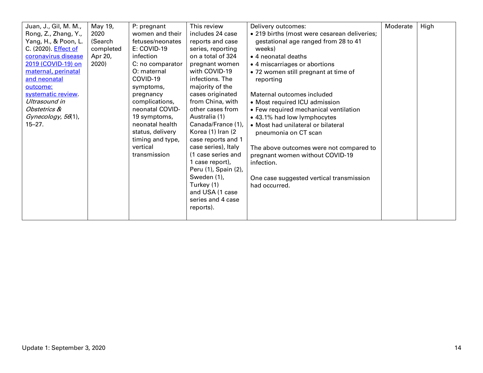| Juan, J., Gil, M. M.,<br>Rong, Z., Zhang, Y.,<br>Yang, H., & Poon, L.<br>C. (2020). Effect of<br>coronavirus disease<br>2019 (COVID-19) on<br>maternal, perinatal<br>and neonatal<br>outcome:<br>systematic review.<br>Ultrasound in<br>Obstetrics &<br>Gynecology, 56(1),<br>$15 - 27.$ | May 19,<br>2020<br>(Search<br>completed<br>Apr 20,<br>2020) | P: pregnant<br>women and their<br>fetuses/neonates<br>E: COVID-19<br>infection<br>C: no comparator<br>O: maternal<br>COVID-19<br>symptoms,<br>pregnancy<br>complications,<br>neonatal COVID-<br>19 symptoms,<br>neonatal health<br>status, delivery<br>timing and type,<br>vertical<br>transmission | This review<br>includes 24 case<br>reports and case<br>series, reporting<br>on a total of 324<br>pregnant women<br>with COVID-19<br>infections. The<br>majority of the<br>cases originated<br>from China, with<br>other cases from<br>Australia (1)<br>Canada/France (1),<br>Korea (1) Iran (2)<br>case reports and 1<br>case series), Italy<br>(1 case series and<br>1 case report),<br>Peru (1), Spain (2),<br>Sweden (1),<br>Turkey (1)<br>and USA (1 case<br>series and 4 case<br>reports). | Delivery outcomes:<br>• 219 births (most were cesarean deliveries;<br>gestational age ranged from 28 to 41<br>weeks)<br>• 4 neonatal deaths<br>• 4 miscarriages or abortions<br>. 72 women still pregnant at time of<br>reporting<br>Maternal outcomes included<br>• Most required ICU admission<br>• Few required mechanical ventilation<br>• 43.1% had low lymphocytes<br>• Most had unilateral or bilateral<br>pneumonia on CT scan<br>The above outcomes were not compared to<br>pregnant women without COVID-19<br>infection.<br>One case suggested vertical transmission<br>had occurred. | Moderate | High |
|------------------------------------------------------------------------------------------------------------------------------------------------------------------------------------------------------------------------------------------------------------------------------------------|-------------------------------------------------------------|-----------------------------------------------------------------------------------------------------------------------------------------------------------------------------------------------------------------------------------------------------------------------------------------------------|-------------------------------------------------------------------------------------------------------------------------------------------------------------------------------------------------------------------------------------------------------------------------------------------------------------------------------------------------------------------------------------------------------------------------------------------------------------------------------------------------|-------------------------------------------------------------------------------------------------------------------------------------------------------------------------------------------------------------------------------------------------------------------------------------------------------------------------------------------------------------------------------------------------------------------------------------------------------------------------------------------------------------------------------------------------------------------------------------------------|----------|------|
|------------------------------------------------------------------------------------------------------------------------------------------------------------------------------------------------------------------------------------------------------------------------------------------|-------------------------------------------------------------|-----------------------------------------------------------------------------------------------------------------------------------------------------------------------------------------------------------------------------------------------------------------------------------------------------|-------------------------------------------------------------------------------------------------------------------------------------------------------------------------------------------------------------------------------------------------------------------------------------------------------------------------------------------------------------------------------------------------------------------------------------------------------------------------------------------------|-------------------------------------------------------------------------------------------------------------------------------------------------------------------------------------------------------------------------------------------------------------------------------------------------------------------------------------------------------------------------------------------------------------------------------------------------------------------------------------------------------------------------------------------------------------------------------------------------|----------|------|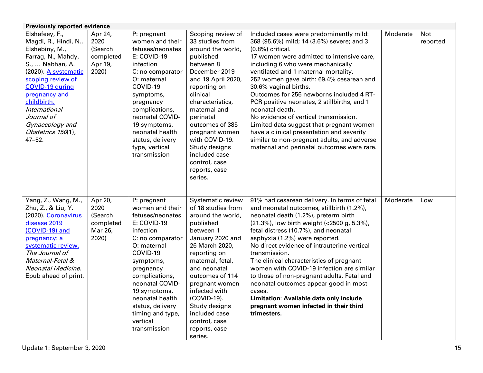| <b>Previously reported evidence</b>                                                                                                                                                                                                                                                      |                                                             |                                                                                                                                                                                                                                                                                                     |                                                                                                                                                                                                                                                                                                                                               |                                                                                                                                                                                                                                                                                                                                                                                                                                                                                                                                                                                                                                                         |          |                 |  |  |
|------------------------------------------------------------------------------------------------------------------------------------------------------------------------------------------------------------------------------------------------------------------------------------------|-------------------------------------------------------------|-----------------------------------------------------------------------------------------------------------------------------------------------------------------------------------------------------------------------------------------------------------------------------------------------------|-----------------------------------------------------------------------------------------------------------------------------------------------------------------------------------------------------------------------------------------------------------------------------------------------------------------------------------------------|---------------------------------------------------------------------------------------------------------------------------------------------------------------------------------------------------------------------------------------------------------------------------------------------------------------------------------------------------------------------------------------------------------------------------------------------------------------------------------------------------------------------------------------------------------------------------------------------------------------------------------------------------------|----------|-----------------|--|--|
| Elshafeey, F.,<br>Magdi, R., Hindi, N.,<br>Elshebiny, M.,<br>Farrag, N., Mahdy,<br>S.,  Nabhan, A.<br>(2020). A systematic<br>scoping review of<br>COVID-19 during<br>pregnancy and<br>childbirth.<br>International<br>Journal of<br>Gynaecology and<br>Obstetrics 150(1),<br>$47 - 52.$ | Apr 24,<br>2020<br>(Search<br>completed<br>Apr 19,<br>2020) | P: pregnant<br>women and their<br>fetuses/neonates<br>E: COVID-19<br>infection<br>C: no comparator<br>O: maternal<br>COVID-19<br>symptoms,<br>pregnancy<br>complications,<br>neonatal COVID-<br>19 symptoms,<br>neonatal health<br>status, delivery<br>type, vertical<br>transmission               | Scoping review of<br>33 studies from<br>around the world,<br>published<br>between 8<br>December 2019<br>and 19 April 2020,<br>reporting on<br>clinical<br>characteristics,<br>maternal and<br>perinatal<br>outcomes of 385<br>pregnant women<br>with COVID-19.<br>Study designs<br>included case<br>control, case<br>reports, case<br>series. | Included cases were predominantly mild:<br>368 (95.6%) mild; 14 (3.6%) severe; and 3<br>$(0.8\%)$ critical.<br>17 women were admitted to intensive care,<br>including 6 who were mechanically<br>ventilated and 1 maternal mortality.<br>252 women gave birth: 69.4% cesarean and<br>30.6% vaginal births.<br>Outcomes for 256 newborns included 4 RT-<br>PCR positive neonates, 2 stillbirths, and 1<br>neonatal death.<br>No evidence of vertical transmission.<br>Limited data suggest that pregnant women<br>have a clinical presentation and severity<br>similar to non-pregnant adults, and adverse<br>maternal and perinatal outcomes were rare. | Moderate | Not<br>reported |  |  |
| Yang, Z., Wang, M.,<br>Zhu, Z., & Liu, Y.<br>(2020). Coronavirus<br>disease 2019<br>(COVID-19) and<br>pregnancy: a<br>systematic review.<br>The Journal of<br>Maternal-Fetal &<br>Neonatal Medicine.<br>Epub ahead of print.                                                             | Apr 20,<br>2020<br>(Search<br>completed<br>Mar 26,<br>2020) | P: pregnant<br>women and their<br>fetuses/neonates<br>E: COVID-19<br>infection<br>C: no comparator<br>O: maternal<br>COVID-19<br>symptoms,<br>pregnancy<br>complications,<br>neonatal COVID-<br>19 symptoms,<br>neonatal health<br>status, delivery<br>timing and type,<br>vertical<br>transmission | Systematic review<br>of 18 studies from<br>around the world,<br>published<br>between 1<br>January 2020 and<br>26 March 2020,<br>reporting on<br>maternal, fetal,<br>and neonatal<br>outcomes of 114<br>pregnant women<br>infected with<br>(COVID-19).<br>Study designs<br>included case<br>control, case<br>reports, case<br>series.          | 91% had cesarean delivery. In terms of fetal<br>and neonatal outcomes, stillbirth (1.2%),<br>neonatal death (1.2%), preterm birth<br>(21.3%), low birth weight (<2500 g, 5.3%),<br>fetal distress (10.7%), and neonatal<br>asphyxia (1.2%) were reported.<br>No direct evidence of intrauterine vertical<br>transmission.<br>The clinical characteristics of pregnant<br>women with COVID-19 infection are similar<br>to those of non-pregnant adults. Fetal and<br>neonatal outcomes appear good in most<br>cases.<br>Limitation: Available data only include<br>pregnant women infected in their third<br>trimesters.                                 | Moderate | Low             |  |  |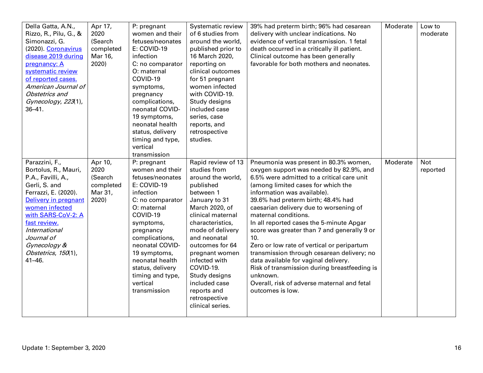| Della Gatta, A.N.,<br>Rizzo, R., Pilu, G., &<br>Simonazzi, G.<br>(2020). Coronavirus<br>disease 2019 during<br>pregnancy: A<br>systematic review<br>of reported cases.<br>American Journal of<br>Obstetrics and<br>Gynecology, 223(1),<br>$36 - 41$ .                            | Apr 17,<br>2020<br>(Search<br>completed<br>Mar 16,<br>2020) | P: pregnant<br>women and their<br>fetuses/neonates<br>E: COVID-19<br>infection<br>C: no comparator<br>O: maternal<br>COVID-19<br>symptoms,<br>pregnancy<br>complications,<br>neonatal COVID-<br>19 symptoms,<br>neonatal health<br>status, delivery<br>timing and type,<br>vertical<br>transmission | Systematic review<br>of 6 studies from<br>around the world,<br>published prior to<br>16 March 2020,<br>reporting on<br>clinical outcomes<br>for 51 pregnant<br>women infected<br>with COVID-19.<br>Study designs<br>included case<br>series, case<br>reports, and<br>retrospective<br>studies.                                                             | 39% had preterm birth; 96% had cesarean<br>delivery with unclear indications. No<br>evidence of vertical transmission. 1 fetal<br>death occurred in a critically ill patient.<br>Clinical outcome has been generally<br>favorable for both mothers and neonates.                                                                                                                                                                                                                                                                                                                                                                                                                 | Moderate | Low to<br>moderate     |
|----------------------------------------------------------------------------------------------------------------------------------------------------------------------------------------------------------------------------------------------------------------------------------|-------------------------------------------------------------|-----------------------------------------------------------------------------------------------------------------------------------------------------------------------------------------------------------------------------------------------------------------------------------------------------|------------------------------------------------------------------------------------------------------------------------------------------------------------------------------------------------------------------------------------------------------------------------------------------------------------------------------------------------------------|----------------------------------------------------------------------------------------------------------------------------------------------------------------------------------------------------------------------------------------------------------------------------------------------------------------------------------------------------------------------------------------------------------------------------------------------------------------------------------------------------------------------------------------------------------------------------------------------------------------------------------------------------------------------------------|----------|------------------------|
| Parazzini, F.,<br>Bortolus, R., Mauri,<br>P.A., Favilli, A.,<br>Gerli, S. and<br>Ferrazzi, E. (2020).<br>Delivery in pregnant<br>women infected<br>with SARS-CoV-2: A<br>fast review.<br><i>International</i><br>Journal of<br>Gynecology &<br>Obstetrics, 150(1),<br>$41 - 46.$ | Apr 10,<br>2020<br>(Search<br>completed<br>Mar 31,<br>2020) | P: pregnant<br>women and their<br>fetuses/neonates<br>E: COVID-19<br>infection<br>C: no comparator<br>O: maternal<br>COVID-19<br>symptoms,<br>pregnancy<br>complications,<br>neonatal COVID-<br>19 symptoms,<br>neonatal health<br>status, delivery<br>timing and type,<br>vertical<br>transmission | Rapid review of 13<br>studies from<br>around the world,<br>published<br>between 1<br>January to 31<br>March 2020, of<br>clinical maternal<br>characteristics,<br>mode of delivery<br>and neonatal<br>outcomes for 64<br>pregnant women<br>infected with<br>COVID-19.<br>Study designs<br>included case<br>reports and<br>retrospective<br>clinical series. | Pneumonia was present in 80.3% women,<br>oxygen support was needed by 82.9%, and<br>6.5% were admitted to a critical care unit<br>(among limited cases for which the<br>information was available).<br>39.6% had preterm birth; 48.4% had<br>caesarian delivery due to worsening of<br>maternal conditions.<br>In all reported cases the 5-minute Apgar<br>score was greater than 7 and generally 9 or<br>10.<br>Zero or low rate of vertical or peripartum<br>transmission through cesarean delivery; no<br>data available for vaginal delivery.<br>Risk of transmission during breastfeeding is<br>unknown.<br>Overall, risk of adverse maternal and fetal<br>outcomes is low. | Moderate | <b>Not</b><br>reported |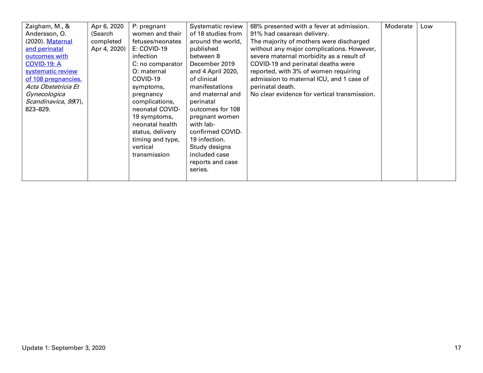| P: pregnant<br>women and their<br>fetuses/neonates<br>E: COVID-19<br>infection<br>C: no comparator<br>O: maternal<br>COVID-19<br>symptoms,<br>pregnancy<br>complications,<br>neonatal COVID-<br>19 symptoms,<br>neonatal health<br>status, delivery<br>timing and type,<br>vertical<br>transmission | Systematic review<br>of 18 studies from<br>around the world,<br>published<br>between 8<br>December 2019<br>and 4 April 2020,<br>of clinical<br>manifestations<br>and maternal and<br>perinatal<br>outcomes for 108<br>pregnant women<br>with lab-<br>confirmed COVID-<br>19 infection.<br>Study designs<br>included case<br>reports and case<br>series. | 68% presented with a fever at admission.<br>91% had cesarean delivery.<br>The majority of mothers were discharged<br>without any major complications. However,<br>severe maternal morbidity as a result of<br>COVID-19 and perinatal deaths were<br>reported, with 3% of women requiring<br>admission to maternal ICU, and 1 case of<br>perinatal death.<br>No clear evidence for vertical transmission. | Moderate | Low |
|-----------------------------------------------------------------------------------------------------------------------------------------------------------------------------------------------------------------------------------------------------------------------------------------------------|---------------------------------------------------------------------------------------------------------------------------------------------------------------------------------------------------------------------------------------------------------------------------------------------------------------------------------------------------------|----------------------------------------------------------------------------------------------------------------------------------------------------------------------------------------------------------------------------------------------------------------------------------------------------------------------------------------------------------------------------------------------------------|----------|-----|
| Apr 6, 2020<br>(Search<br>completed<br>Apr 4, 2020)                                                                                                                                                                                                                                                 |                                                                                                                                                                                                                                                                                                                                                         |                                                                                                                                                                                                                                                                                                                                                                                                          |          |     |
|                                                                                                                                                                                                                                                                                                     |                                                                                                                                                                                                                                                                                                                                                         |                                                                                                                                                                                                                                                                                                                                                                                                          |          |     |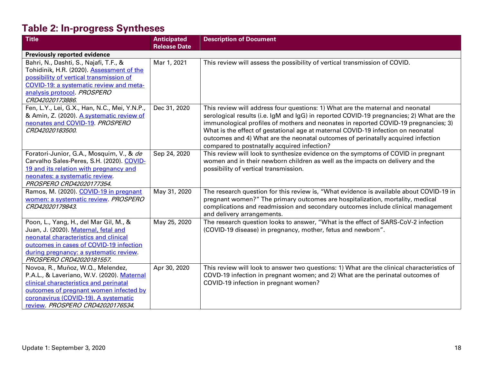# **Table 2: In-progress Syntheses**

| <b>Title</b>                                  | <b>Anticipated</b>  | <b>Description of Document</b>                                                             |
|-----------------------------------------------|---------------------|--------------------------------------------------------------------------------------------|
|                                               | <b>Release Date</b> |                                                                                            |
| <b>Previously reported evidence</b>           |                     |                                                                                            |
| Bahri, N., Dashti, S., Najafi, T.F., &        | Mar 1, 2021         | This review will assess the possibility of vertical transmission of COVID.                 |
| Tohidinik, H.R. (2020). Assessment of the     |                     |                                                                                            |
| possibility of vertical transmission of       |                     |                                                                                            |
| COVID-19: a systematic review and meta-       |                     |                                                                                            |
| analysis protocol. PROSPERO                   |                     |                                                                                            |
| CRD42020173886.                               |                     |                                                                                            |
| Fen, L.Y., Lei, G.X., Han, N.C., Mei, Y.N.P., | Dec 31, 2020        | This review will address four questions: 1) What are the maternal and neonatal             |
| & Amin, Z. (2020). A systematic review of     |                     | serological results (i.e. IgM and IgG) in reported COVID-19 pregnancies; 2) What are the   |
| neonates and COVID-19. PROSPERO               |                     | immunological profiles of mothers and neonates in reported COVID-19 pregnancies; 3)        |
| CRD42020183500.                               |                     | What is the effect of gestational age at maternal COVID-19 infection on neonatal           |
|                                               |                     | outcomes and 4) What are the neonatal outcomes of perinatally acquired infection           |
|                                               |                     | compared to postnatally acquired infection?                                                |
| Foratori-Junior, G.A., Mosquim, V., & de      | Sep 24, 2020        | This review will look to synthesize evidence on the symptoms of COVID in pregnant          |
| Carvalho Sales-Peres, S.H. (2020). COVID-     |                     | women and in their newborn children as well as the impacts on delivery and the             |
| 19 and its relation with pregnancy and        |                     | possibility of vertical transmission.                                                      |
| neonates: a systematic review.                |                     |                                                                                            |
| PROSPERO CRD42020177354.                      |                     |                                                                                            |
| Ramos, M. (2020). COVID-19 in pregnant        | May 31, 2020        | The research question for this review is, "What evidence is available about COVID-19 in    |
| women: a systematic review. PROSPERO          |                     | pregnant women?" The primary outcomes are hospitalization, mortality, medical              |
| CRD42020179843.                               |                     | complications and readmission and secondary outcomes include clinical management           |
|                                               |                     | and delivery arrangements.                                                                 |
| Poon, L., Yang, H., del Mar Gil, M., &        | May 25, 2020        | The research question looks to answer, "What is the effect of SARS-CoV-2 infection         |
| Juan, J. (2020). Maternal, fetal and          |                     | (COVID-19 disease) in pregnancy, mother, fetus and newborn".                               |
| neonatal characteristics and clinical         |                     |                                                                                            |
| outcomes in cases of COVID-19 infection       |                     |                                                                                            |
| during pregnancy: a systematic review.        |                     |                                                                                            |
| PROSPERO CRD42020181557.                      |                     |                                                                                            |
| Novoa, R., Muñoz, W.Q., Melendez,             | Apr 30, 2020        | This review will look to answer two questions: 1) What are the clinical characteristics of |
| P.A.L., & Laveriano, W.V. (2020). Maternal    |                     | COVD-19 infection in pregnant women; and 2) What are the perinatal outcomes of             |
| clinical characteristics and perinatal        |                     | COVID-19 infection in pregnant women?                                                      |
| outcomes of pregnant women infected by        |                     |                                                                                            |
| coronavirus (COVID-19). A systematic          |                     |                                                                                            |
| review. PROSPERO CRD42020176534.              |                     |                                                                                            |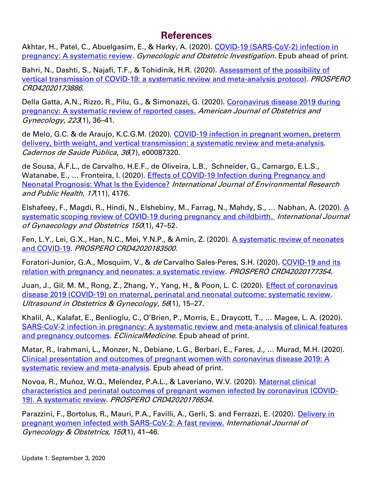## **References**

Akhtar, H., Patel, C., Abuelgasim, E., & Harky, A. (2020). COVID-19 (SARS-CoV-2) infection in [pregnancy: A systematic review.](https://www.karger.com/Article/FullText/509290) Gynecologic and Obstetric Investigation. Epub ahead of print.

Bahri, N., Dashti, S., Najafi, T.F., & Tohidinik, H.R. (2020). Assessment of the possibility of [vertical transmission of COVID-19: a systematic review and meta-analysis protocol.](https://www.crd.york.ac.uk/prospero/display_record.php?ID=CRD42020173886) PROSPERO CRD42020173886.

Della Gatta, A.N., Rizzo, R., Pilu, G., & Simonazzi, G. (2020). [Coronavirus disease 2019 during](https://res.nccmt.ca/2WBlMOY)  [pregnancy: A systematic review of reported cases.](https://res.nccmt.ca/2WBlMOY) American Journal of Obstetrics and Gynecology, 223(1), 36–41.

de Melo, G.C. & de Araujo, K.C.G.M. (2020). [COVID-19 infection in pregnant women, preterm](https://www.scielo.br/scielo.php?script=sci_arttext&pid=S0102-311X2020000702001&tlng=en)  [delivery, birth weight, and vertical transmission: a systematic review and meta-analysis.](https://www.scielo.br/scielo.php?script=sci_arttext&pid=S0102-311X2020000702001&tlng=en) Cadernos de Saúde Pública, 36(7), e00087320.

de Sousa, Á.F.L., de Carvalho, H.E.F., de Oliveira, L.B., Schneider, G., Camargo, E.L.S., Watanabe, E., … Fronteira, I. (2020). [Effects of COVID-19 Infection during Pregnancy and](https://www.mdpi.com/1660-4601/17/11/4176/htm)  [Neonatal Prognosis: What Is the Evidence?](https://www.mdpi.com/1660-4601/17/11/4176/htm) International Journal of Environmental Research and Public Health, 17(11), 4176.

Elshafeey, F., Magdi, R., Hindi, N., Elshebiny, M., Farrag, N., Mahdy, S., ... Nabhan, A. (2020). A [systematic scoping review of COVID-19 during pregnancy and childbirth.](https://res.nccmt.ca/3dNNzBF) *International Journal* of Gynaecology and Obstetrics <sup>150</sup>(1), 47–52.

Fen, L.Y., Lei, G.X., Han, N.C., Mei, Y.N.P., & Amin, Z. (2020). [A systematic review of neonates](https://www.crd.york.ac.uk/prospero/display_record.php?RecordID=183500)  [and COVID-19.](https://www.crd.york.ac.uk/prospero/display_record.php?RecordID=183500) PROSPERO CRD42020183500.

Foratori-Junior, G.A., Mosquim, V., & de Carvalho Sales-Peres, S.H. (2020). COVID-19 and its [relation with pregnancy and neonates: a systematic review.](https://www.crd.york.ac.uk/prospero/display_record.php?RecordID=177354) PROSPERO CRD42020177354.

Juan, J., Gil, M. M., Rong, Z., Zhang, Y., Yang, H., & Poon, L. C. (2020). *Effect of coronavirus* disease 2019 (COVID‐[19\) on maternal, perinatal and neonatal outcome: systematic review.](https://obgyn.onlinelibrary.wiley.com/doi/full/10.1002/uog.22088) Ultrasound in Obstetrics & Gynecology, 56(1), 15–27.

Khalil, A., Kalafat, E., Benlioglu, C., O'Brien, P., Morris, E., Draycott, T., … Magee, L. A. (2020). [SARS-CoV-2 infection in pregnancy: A systematic review](https://www.thelancet.com/journals/eclinm/article/PIIS2589-5370(20)30190-5/fulltext) and meta-analysis of clinical features [and pregnancy outcomes.](https://www.thelancet.com/journals/eclinm/article/PIIS2589-5370(20)30190-5/fulltext) EClinicalMedicine. Epub ahead of print.

Matar, R., lrahmani, L., Monzer, N., Debiane, L.G., Berbari, E., Fares, J., … Murad, M.H. (2020). [Clinical presentation and outcomes of pregnant women with coronavirus disease 2019: A](https://academic.oup.com/cid/advance-article/doi/10.1093/cid/ciaa828/5861636)  [systematic review and meta-analysis.](https://academic.oup.com/cid/advance-article/doi/10.1093/cid/ciaa828/5861636) Epub ahead of print.

Novoa, R., Muñoz, W.Q., Melendez, P.A.L., & Laveriano, W.V. (2020). [Maternal clinical](https://www.crd.york.ac.uk/prospero/display_record.php?RecordID=176534&VersionID=1317493)  [characteristics and perinatal outcomes of pregnant women infected by coronavirus \(COVID-](https://www.crd.york.ac.uk/prospero/display_record.php?RecordID=176534&VersionID=1317493)[19\). A systematic review.](https://www.crd.york.ac.uk/prospero/display_record.php?RecordID=176534&VersionID=1317493) PROSPERO CRD42020176534.

Parazzini, F., Bortolus, R., Mauri, P.A., Favilli, A., Gerli, S. and Ferrazzi, E. (2020). [Delivery in](https://res.nccmt.ca/2Tah0pM)  [pregnant women infected with SARS](https://res.nccmt.ca/2Tah0pM)‐CoV‐2: A fast review. International Journal of Gynecology & Obstetrics, 150(1), 41–46.